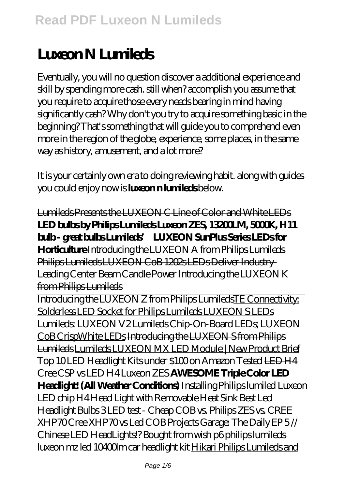# **Luxeon N Lumileds**

Eventually, you will no question discover a additional experience and skill by spending more cash. still when? accomplish you assume that you require to acquire those every needs bearing in mind having significantly cash? Why don't you try to acquire something basic in the beginning? That's something that will guide you to comprehend even more in the region of the globe, experience, some places, in the same way as history, amusement, and a lot more?

It is your certainly own era to doing reviewing habit. along with guides you could enjoy now is **luxeon n lumileds** below.

Lumileds Presents the LUXEON C Line of Color and White LEDs **LED bulbs by Philips Lumileds Luxeon ZES, 13200LM, 5000K, H11 bulb - great bulbs Lumileds' LUXEON SunPlus Series LEDs for Horticulture** *Introducing the LUXEON A from Philips Lumileds* Philips Lumileds LUXEON CoB 1202s LEDs Deliver Industry-Leading Center Beam Candle Power Introducing the LUXEON K from Philips Lumileds Introducing the LUXEON Z from Philips LumiledsTE Connectivity: Solderless LED Socket for Philips Lumileds LUXEON S LEDs Lumileds: LUXEON V2 Lumileds Chip-On-Board LEDs; LUXEON CoB CrispWhite LEDs Introducing the LUXEON S from Philips Lumileds Lumileds LUXEON MX LED Module | New Product Brief *Top 10 LED Headlight Kits under \$100 on Amazon Tested* LED H4 Cree CSP vs LED H4 Luxeon ZES **AWESOME Triple Color LED Headlight! (All Weather Conditions)** *Installing Philips lumiled Luxeon LED chip H4 Head Light with Removable Heat Sink Best Led Headlight Bulbs 3 LED test - Cheap COB vs. Philips ZES vs. CREE*

*XHP70* Cree XHP70 vs Led COB Projects Garage: The Daily EP 5 // Chinese LED HeadLights!? Bought from wish *p6 philips lumileds luxeon mz led 10400lm car headlight kit* Hikari Philips Lumileds and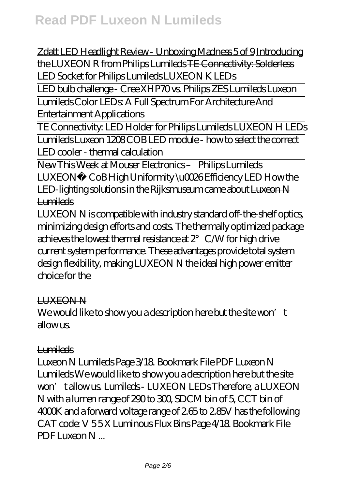Zdatt LED Headlight Review - Unboxing Madness 5 of 9 Introducing the LUXEON R from Philips Lumileds TE Connectivity: Solderless LED Socket for Philips Lumileds LUXEON K LEDs

LED bulb challenge - Cree XHP70 vs. Philips ZES Lumileds Luxeon Lumileds Color LEDs: A Full Spectrum For Architecture And

Entertainment Applications

TE Connectivity: LED Holder for Philips Lumileds LUXEON H LEDs Lumileds Luxeon 1208 COB LED module - how to select the correct LED cooler - thermal calculation

New This Week at Mouser Electronics – Philips Lumileds LUXEON® CoB High Uniformity \u0026 Efficiency LED How the LED-lighting solutions in the Rijksmuseum came about Luxeon N Lumileds

LUXEON N is compatible with industry standard off-the-shelf optics, minimizing design efforts and costs. The thermally optimized package achieves the lowest thermal resistance at  $2^{\circ}$  C  $\triangle$  W for high drive current system performance. These advantages provide total system design flexibility, making LUXEON N the ideal high power emitter choice for the

## LUXEON N

We would like to show you a description here but the site won't  $\lambda$ llow  $\mu$ s

## Lumileds

Luxeon N Lumileds Page 3/18. Bookmark File PDF Luxeon N Lumileds We would like to show you a description here but the site won't allow us. Lumileds - LUXEON LEDs Therefore, a LUXEON N with a lumen range of 290 to 300, SDCM bin of 5, CCT bin of 4000K and a forward voltage range of 2.65 to 2.85V has the following CAT code: V 5 5 X Luminous Flux Bins Page 4/18. Bookmark File PDF Luxeon N ...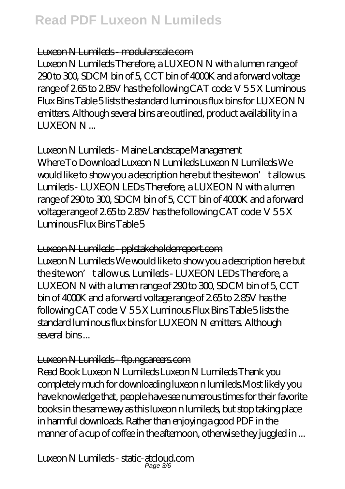#### Luxeon N Lumileds - modularscale.com

Luxeon N Lumileds Therefore, a LUXEON N with a lumen range of 290 to 300, SDCM bin of 5, CCT bin of 4000K and a forward voltage range of 2.65 to 2.85V has the following CAT code: V 5 5 X Luminous Flux Bins Table 5 lists the standard luminous flux bins for LUXEON N emitters. Although several bins are outlined, product availability in a LUXEON N ...

#### Luxeon N Lumileds - Maine Landscape Management

Where To Download Luxeon N Lumileds Luxeon N Lumileds We would like to show you a description here but the site won't allow us. Lumileds - LUXEON LEDs Therefore, a LUXEON N with a lumen range of 290 to 300, SDCM bin of 5, CCT bin of 4000K and a forward voltage range of 2.65 to 2.85V has the following CAT code: V 5 5 X Luminous Flux Bins Table 5

#### Luxeon N Lumileds - pplstakeholderreport.com

Luxeon N Lumileds We would like to show you a description here but the site won't allow us. Lumileds - LUXEON LEDs Therefore, a LUXEON N with a lumen range of 290 to 300, SDCM bin of 5, CCT bin of 4000K and a forward voltage range of 2.65 to 2.85V has the following CAT code: V 5 5 X Luminous Flux Bins Table 5 lists the standard luminous flux bins for LUXEON N emitters. Although several bins ...

## Luxeon N Lumileds ftp.ngcareers.com

Read Book Luxeon N Lumileds Luxeon N Lumileds Thank you completely much for downloading luxeon n lumileds.Most likely you have knowledge that, people have see numerous times for their favorite books in the same way as this luxeon n lumileds, but stop taking place in harmful downloads. Rather than enjoying a good PDF in the manner of a cup of coffee in the afternoon, otherwise they juggled in ...

Luxeon N Lumileds - static-atcloud.com Page 3/6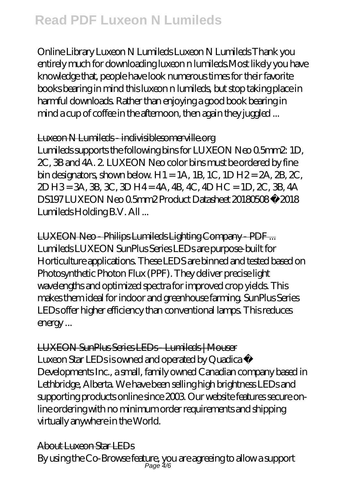Online Library Luxeon N Lumileds Luxeon N Lumileds Thank you entirely much for downloading luxeon n lumileds.Most likely you have knowledge that, people have look numerous times for their favorite books bearing in mind this luxeon n lumileds, but stop taking place in harmful downloads. Rather than enjoying a good book bearing in mind a cup of coffee in the afternoon, then again they juggled ...

## Luxeon N Lumileds - indivisiblesomerville.org

Lumileds supports the following bins for LUXEON Neo 0.5mm2: 1D, 2C, 3B and 4A. 2. LUXEON Neo color bins must be ordered by fine bin designators, shown below. H1 = 1A, 1B, 1C, 1D H2 =  $2A$ ,  $2B$ ,  $2C$ , 2D H3 = 3A, 3B, 3C, 3D H4 = 4A, 4B, 4C, 4D HC = 1D, 2C, 3B, 4A DS197 LUXEON Neo 0.5mm2 Product Datasheet 20180508 © 2018 Lumileds Holding B.V. All ...

LUXEON Neo - Philips Lumileds Lighting Company - PDF ... Lumileds LUXEON SunPlus Series LEDs are purpose-built for Horticulture applications. These LEDS are binned and tested based on Photosynthetic Photon Flux (PPF). They deliver precise light wavelengths and optimized spectra for improved crop yields. This makes them ideal for indoor and greenhouse farming. SunPlus Series LEDs offer higher efficiency than conventional lamps. This reduces energy ...

## LUXEON SunPlus Series LEDs - Lumileds | Mouser Luxeon Star LEDs is owned and operated by Quadica ® Developments Inc., a small, family owned Canadian company based in Lethbridge, Alberta. We have been selling high brightness LEDs and supporting products online since 2003. Our website features secure online ordering with no minimum order requirements and shipping virtually anywhere in the World.

# About Luxeon Star LEDs

By using the Co-Browse feature, you are agreeing to allow a support Page 4/6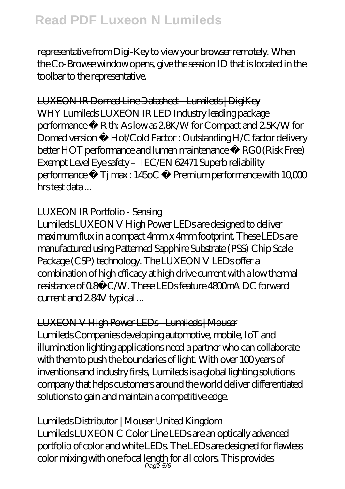representative from Digi-Key to view your browser remotely. When the Co-Browse window opens, give the session ID that is located in the toolbar to the representative.

# LUXEON IR Domed Line Datasheet - Lumileds | DigiKey

WHY Lumileds LUXEON IR LED Industry leading package performance • R th: As low as 2.8K/W for Compact and 2.5K/W for Domed version • Hot/Cold Factor : Outstanding H/C factor delivery better HOT performance and lumen maintenance • RG0 (Risk Free) Exempt Level Eye safety - IEC/EN 62471 Superb reliability performance • Tj max : 145oC • Premium performance with 10,000 hrs test data ...

## LUXEON IR Portfolio - Sensing

Lumileds LUXEON V High Power LEDs are designed to deliver maximum flux in a compact 4mm x 4mm footprint. These LEDs are manufactured using Patterned Sapphire Substrate (PSS) Chip Scale Package (CSP) technology. The LUXEON V LEDs offer a combination of high efficacy at high drive current with a low thermal resistance of 0.8°C/W. These LEDs feature 4800mA DC forward current and 2.84V typical ...

# LUXEON V High Power LEDs - Lumileds | Mouser

Lumileds Companies developing automotive, mobile, IoT and illumination lighting applications need a partner who can collaborate with them to push the boundaries of light. With over 100 years of inventions and industry firsts, Lumileds is a global lighting solutions company that helps customers around the world deliver differentiated solutions to gain and maintain a competitive edge.

# Lumileds Distributor | Mouser United Kingdom

Lumileds LUXEON C Color Line LEDs are an optically advanced portfolio of color and white LEDs. The LEDs are designed for flawless color mixing with one focal length for all colors. This provides Page 5/6